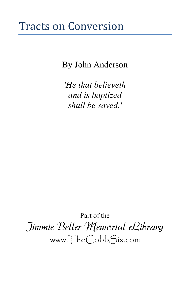# Tracts on Conversion

By John Anderson

*'He that believeth and is baptized shall be saved.'*

Part of the Jimmie Beller Memorial eLibrary www.TheCobbSix.com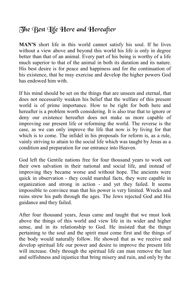## The Best Life Here and Hereafter

**MAN'S** short life in this world cannot satisfy his soul. If he lives without a view above and beyond this world his life is only in degree better than that of an animal. Every part of his being is worthy of a life much superior to that of the animal in both its duration and its nature. His best desire is for peace and happiness and for the continuation of his existence, that he may exercise and develop the higher powers God has endowed him with.

If his mind should be set on the things that are unseen and eternal, that does not necessarily weaken his belief that the welfare of this present world is of prime importance. How to be right for both here and hereafter is a problem worth considering. It is also true that to ignore or deny our existence hereafter does not make us more capable of improving our present life or reforming the world. The reverse is the case, as we can only improve the life that now is by living for that which is to come. The infidel in his proposals for reform is, as a rule, vainly striving to attain to the social life which was taught by Jesus as a condition and preparation for our entrance into Heaven.

God left the Gentile nations free for four thousand years to work out their own salvation in their national and social life, and instead of improving they became worse and without hope. The ancients were quick in observation - they could marshal facts, they were capable in organization and strong in action - and yet they failed. It seems impossible to convince man that his power is very limited. Wrecks and ruins strew his path through the ages. The Jews rejected God and His guidance and they failed.

After four thousand years, Jesus came and taught that we must look above the things of this world and view life in its wider and higher sense, and in its relationship to God. He insisted that the things pertaining to the soul and the spirit must come first and the things of the body would naturally follow. He showed that as we receive and develop spiritual life our power and desire to improve the present life will increase. Only through the spiritual life can man remove the lust and selfishness and injustice that bring misery and ruin, and only by the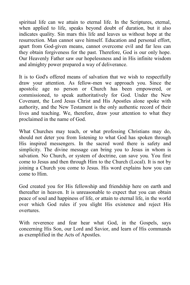spiritual life can we attain to eternal life. In the Scriptures, eternal, when applied to life, speaks beyond doubt of duration, but it also indicates quality. Sin mars this life and leaves us without hope at the resurrection. Man cannot save himself. Education and personal effort, apart from God-given means, cannot overcome evil and far less can they obtain forgiveness for the past. Therefore, God is our only hope. Our Heavenly Father saw our hopelessness and in His infinite wisdom and almighty power prepared a way of deliverance.

It is to God's offered means of salvation that we wish to respectfully draw your attention. As fellow-men we approach you. Since the apostolic age no person or Church has been empowered, or commissioned, to speak authoritatively for God. Under the New Covenant, the Lord Jesus Christ and His Apostles alone spoke with authority, and the New Testament is the only authentic record of their lives and teaching. We, therefore, draw your attention to what they proclaimed in the name of God.

What Churches may teach, or what professing Christians may do, should not deter you from listening to what God has spoken through His inspired messengers. In the sacred word there is safety and simplicity. The divine message can bring you to Jesus in whom is salvation. No Church, or system of doctrine, can save you. You first come to Jesus and then through Him to the Church (Local). It is not by joining a Church you come to Jesus. His word explains how you can come to Him.

God created you for His fellowship and friendship here on earth and thereafter in heaven. It is unreasonable to expect that you can obtain peace of soul and happiness of life, or attain to eternal life, in the world over which God rules if you slight His existence and reject His overtures.

With reverence and fear hear what God, in the Gospels, says concerning His Son, our Lord and Savior, and learn of His commands as exemplified in the Acts of Apostles.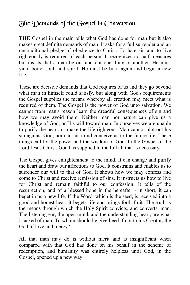## The Demands of the Gospel in Conversion

**THE** Gospel in the main tells what God has done for man but it also makes great definite demands of man. It asks for a full surrender and an unconditional pledge of obedience to Christ. To hate sin and to live righteously is required of each person. It recognizes no half measures but insists that a man be out and out one thing or another. He must yield body, soul, and spirit. He must be born again and begin a new life.

These are decisive demands that God requires of us and they go beyond what man in himself could satisfy, but along with God's requirements the Gospel supplies the means whereby all creation may meet what is required of them. The Gospel is the power of God unto salvation. We cannot from man's reason learn the dreadful consequences of sin and how we may avoid them. Neither man nor nature can give us a knowledge of God, or His will toward man. In ourselves we are unable to purify the heart, or make the life righteous. Man cannot blot out his sin against God, nor can his mind conceive as to the future life. These things call for the power and the wisdom of God. In the Gospel of the Lord Jesus Christ, God has supplied to the full all that is necessary.

The Gospel gives enlightenment to the mind. It can change and purify the heart and draw our affections to God. It constrains and enables us to surrender our will to that of God. It shows how we may confess and come to Christ and receive remission of sins. It instructs us how to live for Christ and remain faithful to our confession. It tells of the resurrection, and of a blessed hope in the hereafter - in short, it can beget in us a new life. If the Word, which is the seed, is received into a good and honest heart it begets life and brings forth fruit. The truth is the means through which the Holy Spirit convicts, and converts, man. The listening ear, the open mind, and the understanding heart, are what is asked of man. To whom should he give heed if not to his Creator, the God of love and mercy?

All that man may do is without merit and is insignificant when compared with that God has done on his behalf in the scheme of redemption, and humanity was entirely helpless until God, in the Gospel, opened up a new way.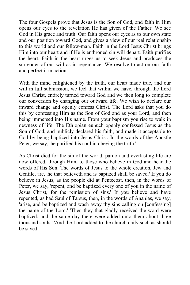The four Gospels prove that Jesus is the Son of God, and faith in Him opens our eyes to the revelation He has given of the Father. We see God in His grace and truth. Our faith opens our eyes as to our own state and our position toward God, and gives a view of our real relationship to this world and our fellow-man. Faith in the Lord Jesus Christ brings Him into our heart and if He is enthroned sin will depart. Faith purifies the heart. Faith in the heart urges us to seek Jesus and produces the surrender of our will as in repentance. We resolve to act on our faith and perfect it in action.

With the mind enlightened by the truth, our heart made true, and our will in full submission, we feel that within we have, through the Lord Jesus Christ, entirely turned toward God and we then long to complete our conversion by changing our outward life. We wish to declare our inward change and openly confess Christ. The Lord asks that you do this by confessing Him as the Son of God and as your Lord, and then being immersed into His name. From your baptism you rise to walk in newness of life. The Ethiopian eunuch openly confessed Jesus as the Son of God, and publicly declared his faith, and made it acceptable to God by being baptized into Jesus Christ. In the words of the Apostle Peter, we say, 'he purified his soul in obeying the truth.'

As Christ died for the sin of the world, pardon and everlasting life are now offered, through Him, to those who believe in God and hear the words of His Son. The words of Jesus to the whole creation, Jew and Gentile, are, 'he that believeth and is baptized shall be saved.' If you do believe in Jesus, as the people did at Pentecost, then, in the words of Peter, we say, 'repent, and be baptized every one of you in the name of Jesus Christ, for the remission of sins.' If you believe and have repented, as had Saul of Tarsus, then, in the words of Ananias, we say, 'arise, and be baptized and wash away thy sins calling on [confessing] the name of the Lord.' 'Then they that gladly received the word were baptized: and the same day there were added unto them about three thousand souls.' 'And the Lord added to the church daily such as should be saved.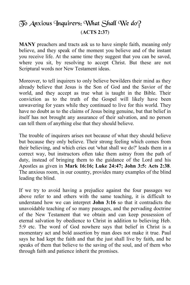## $\widetilde{\mathcal{D}}$ o Anxious Inquirers: What Shall We do? (**ACTS 2:37**)

**MANY** preachers and tracts ask us to have simple faith, meaning only believe, and they speak of the moment you believe and of the instant you receive life. At the same time they suggest that you can be saved, where you sit, by resolving to accept Christ. But these are not Scriptural words nor New Testament ideas.

Moreover, to tell inquirers to only believe bewilders their mind as they already believe that Jesus is the Son of God and the Savior of the world, and they accept as true what is taught in the Bible. Their conviction as to the truth of the Gospel will likely have been unwavering for years while they continued to live for this world. They have no doubt as to the claims of Jesus being genuine, but that belief in itself has not brought any assurance of their salvation, and no person can tell them of anything else that they should believe.

The trouble of inquirers arises not because of what they should believe but because they only believe. Their strong feeling which comes from their believing, and which cries out 'what shall we do?' leads them in a correct way, but instructors often take them astray from the path of duty, instead of bringing them to the guidance of the Lord and his Apostles as given in **Mark 16:16; Luke 24:47; John 3:5: Acts 2:38**. The anxious room, in our country, provides many examples of the blind leading the blind.

If we try to avoid having a prejudice against the four passages we above refer to and others with the same teaching, it is difficult to understand how we can interpret **John 3:16** so that it contradicts the unavoidable teaching of so many passages, and the pervading doctrine of the New Testament that we obtain and can keep possession of eternal salvation by obedience to Christ in addition to believing Heb. 5:9 etc. The word of God nowhere says that belief in Christ is a momentary act and bold assertion by man does not make it true. Paul says he had kept the faith and that the just shall live by faith, and he speaks of them that believe to the saving of the soul, and of them who through faith and patience inherit the promises.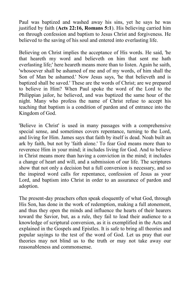Paul was baptized and washed away his sins, yet he says he was justified by faith (**Acts 22:16, Romans 5:1**). His believing carried him on through confession and baptism to Jesus Christ and forgiveness. He believed to the saving of his soul and entered into everlasting life.

Believing on Christ implies the acceptance of His words. He said, 'he that heareth my word and believeth on him that sent me hath everlasting life;' here heareth means more than to listen. Again he saith, 'whosoever shall be ashamed of me and of my words, of him shall the Son of Man be ashamed.' Now Jesus says, 'he that believeth and is baptized shall be saved.' These are the words of Christ; are we prepared to believe in Him? When Paul spoke the word of the Lord to the Philippian jailor, he believed, and was baptized the same hour of the night. Many who profess the name of Christ refuse to accept his teaching that baptism is a condition of pardon and of entrance into the Kingdom of God.

'Believe in Christ' is used in many passages with a comprehensive special sense, and sometimes covers repentance, turning to the Lord, and living for Him. James says that faith by itself is dead. Noah built an ark by faith, but not by 'faith alone.' To fear God means more than to reverence Him in your mind; it includes living for God. And to believe in Christ means more than having a conviction in the mind; it includes a change of heart and will, and a submission of our life. The scriptures show that not only a decision but a full conversion is necessary, and so the inspired word calls for repentance, confession of Jesus as your Lord, and baptism into Christ in order to an assurance of pardon and adoption.

The present-day preachers often speak eloquently of what God, through His Son, has done in the work of redemption, making a full atonement, and thus they open the minds and influence the hearts of their hearers toward the Savior, but, as a rule, they fail to lead their audience to a knowledge of scriptural conversion, as it is exemplified in the Acts and explained in the Gospels and Epistles. It is safe to bring all theories and popular sayings to the test of the word of God. Let us pray that our theories may not blind us to the truth or may not take away our reasonableness and commonsense.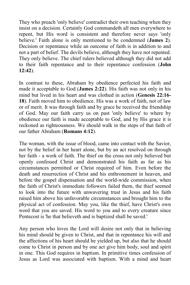They who preach 'only believe' contradict their own teaching when they insist on a decision. Certainly God commandeth all men everywhere to repent, but His word is consistent and therefore never says 'only believe.' Faith alone is only mentioned to be condemned (**James 2**). Decision or repentance while an outcome of faith is in addition to and not a part of belief. The devils believe, although they have not repented. They only believe. The chief rulers believed although they did not add to their faith repentance and to their repentance confession (**John 12:42**).

In contrast to these, Abraham by obedience perfected his faith and made it acceptable to God (**James 2:22**). His faith was not only in his mind but lived in his heart and was clothed in action (**Genesis 22:16- 18**). Faith moved him to obedience. His was a work of faith, not of law or of merit. It was through faith and by grace he received the friendship of God. May our faith carry us on past 'only believe' to where by obedience our faith is made acceptable to God, and by His grace it is reckoned as righteousness. We should walk in the steps of that faith of our father Abraham (**Romans 4:12**).

The woman, with the issue of blood, came into contact with the Savior, not by the belief in her heart alone, but by an act resolved on through her faith - a work of faith. The thief on the cross not only believed but openly confessed Christ and demonstrated his faith as far as his circumstances permitted or Christ required of him. Even before the death and resurrection of Christ and his enthronement in heaven, and before the gospel dispensation and the world-wide commission, when the faith of Christ's immediate followers failed them, the thief seemed to look into the future with unwavering trust in Jesus and his faith raised him above his unfavorable circumstances and brought him to the physical act of confession. May you, like the thief, have Christ's own word that you are saved. His word to you and to every creature since Pentecost is 'he that believeth and is baptized shall be saved.'

Any person who loves the Lord will desire not only that in believing his mind should be given to Christ, and that in repentance his will and the affections of his heart should be yielded up, but also that he should come to Christ in person and by one act give him body, soul and spirit in one. This God requires in baptism. In primitive times confession of Jesus as Lord was associated with baptism. With a mind and heart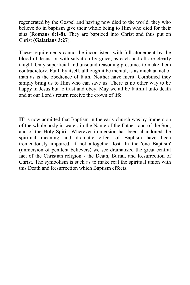regenerated by the Gospel and having now died to the world, they who believe do in baptism give their whole being to Him who died for their sins (**Romans 6:1-8**). They are baptized into Christ and thus put on Christ (**Galatians 3:27**).

These requirements cannot be inconsistent with full atonement by the blood of Jesus, or with salvation by grace, as each and all are clearly taught. Only superficial and unsound reasoning presumes to make them contradictory. Faith by itself, although it be mental, is as much an act of man as is the obedience of faith. Neither have merit. Combined they simply bring us to Him who can save us. There is no other way to be happy in Jesus but to trust and obey. May we all be faithful unto death and at our Lord's return receive the crown of life.

 $\mathcal{L}_\text{max}$ 

**IT** is now admitted that Baptism in the early church was by immersion of the whole body in water, in the Name of the Father, and of the Son, and of the Holy Spirit. Wherever immersion has been abandoned the spiritual meaning and dramatic effect of Baptism have been tremendously impaired, if not altogether lost. In the 'one Baptism' (immersion of penitent believers) we see dramatized the great central fact of the Christian religion - the Death, Burial, and Resurrection of Christ. The symbolism is such as to make real the spiritual union with this Death and Resurrection which Baptism effects.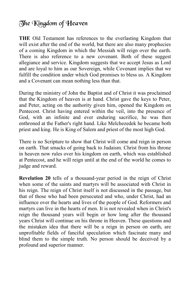## The Kingdom of Heaven

**THE** Old Testament has references to the everlasting Kingdom that will exist after the end of the world, but there are also many prophecies of a coming Kingdom in which the Messiah will reign over the earth. There is also reference to a new covenant. Both of these suggest allegiance and service. Kingdom suggests that we accept Jesus as Lord and are loyal to him as our Sovereign, while Covenant implies that we fulfill the condition under which God promises to bless us. A Kingdom and a Covenant can mean nothing less than that.

During the ministry of John the Baptist and of Christ it was proclaimed that the Kingdom of heaven is at hand. Christ gave the keys to Peter, and Peter, acting on the authority given him, opened the Kingdom on Pentecost. Christ having entered within the veil, into the presence of God, with an infinite and ever enduring sacrifice, he was then enthroned at the Father's right hand. Like Melchezedek he became both priest and king. He is King of Salem and priest of the most high God.

There is no Scripture to show that Christ will come and reign in person on earth. That smacks of going back to Judaism. Christ from his throne in heaven now rules over his kingdom on earth, which was established at Pentecost, and he will reign until at the end of the world he comes to judge and reward.

**Revelation 20** tells of a thousand-year period in the reign of Christ when some of the saints and martyrs will be associated with Christ in his reign. The reign of Christ itself is not discussed in the passage, but that of those who had been persecuted and who, under Christ, had an influence over the hearts and lives of the people of God. Reformers and martyrs can live in the hearts of men. It is not revealed when in Christ's reign the thousand years will begin or how long after the thousand years Christ will continue on his throne in Heaven. These questions and the mistaken idea that there will be a reign in person on earth, are unprofitable fields of fanciful speculation which fascinate many and blind them to the simple truth. No person should be deceived by a profound and superior manner.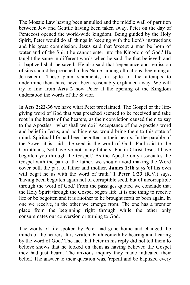The Mosaic Law having been annulled and the middle wall of partition between Jew and Gentile having been taken away, Peter on the day of Pentecost opened the world-wide kingdom. Being guided by the Holy Spirit, Peter would do all things in keeping with the Lord's instructions and his great commission. Jesus said that 'except a man be born of water and of the Spirit he cannot enter into the Kingdom of God.' He taught the same in different words when he said, 'he that believeth and is baptized shall be saved.' He also said that 'repentance and remission of sins should be preached in his Name, among all nations, beginning at Jerusalem.' These plain statements, in spite of the attempts to undermine them have never been reasonably explained away. We will try to find from **Acts 2** how Peter at the opening of the Kingdom understood the words of the Savior.

In **Acts 2:22-36** we have what Peter proclaimed. The Gospel or the lifegiving word of God that was preached seemed to be received and take root in the hearts of the hearers, as their conviction caused them to say to the Apostles, "what shall we do?' Acceptance of the Apostle's word and belief in Jesus, and nothing else, would bring them to this state of mind. Spiritual life had been begotten in their hearts. In the parable of the Sower it is said, 'the seed is the word of God.' Paul said to the Corinthians, 'yet have ye not many fathers: For in Christ Jesus I have begotten you through the Gospel.' As the Apostle only associates the Gospel with the part of the father, we should avoid making the Word cover both the part of father and mother. **James 1:18** says 'of his own will begat he us with the word of truth.' **1 Peter 1:23** (R.V.) says, 'having been begotten again not of corruptible seed, but of incorruptible through the word of God.' From the passages quoted we conclude that the Holy Spirit through the Gospel begets life. It is one thing to receive life or be begotten and it is another to be brought forth or born again. In one we receive, in the other we emerge from. The one has a premier place from the beginning right through while the other only consummates our conversion or turning to God.

The words of life spoken by Peter had gone home and changed the minds of the hearers. It is written 'Faith cometh by hearing and hearing by the word of God.' The fact that Peter in his reply did not tell them to believe shows that he looked on them as having believed the Gospel they had just heard. The anxious inquiry they made indicated their belief. The answer to their question was, 'repent and be baptized every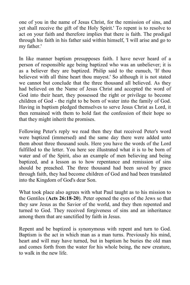one of you in the name of Jesus Christ, for the remission of sins, and yet shall receive the gift of the Holy Spirit.' To repent is to resolve to act on your faith and therefore implies that there is faith. The prodigal through his faith in his father said within himself, 'I will arise and go to my father.'

In like manner baptism presupposes faith. I have never heard of a person of responsible age being baptized who was an unbeliever; it is as a believer they are baptized. Philip said to the eunuch, 'If thou believest with all thine heart thou mayest.' So although it is not stated we cannot but conclude that the three thousand all believed. As they had believed on the Name of Jesus Christ and accepted the word of God into their heart, they possessed the right or privilege to become children of God - the right to be born of water into the family of God. Having in baptism pledged themselves to serve Jesus Christ as Lord, it then remained with them to hold fast the confession of their hope so that they might inherit the promises.

Following Peter's reply we read then they that received Peter's word were baptized (immersed) and the same day there were added unto them about three thousand souls. Here you have the words of the Lord fulfilled to the letter. You here see illustrated what it is to be born of water and of the Spirit, also an example of men believing and being baptized, and a lesson as to how repentance and remission of sins should be preached. The three thousand had been saved by grace through faith, they had become children of God and had been translated into the Kingdom of God's dear Son.

What took place also agrees with what Paul taught as to his mission to the Gentiles (**Acts 26:18-20**). Peter opened the eyes of the Jews so that they saw Jesus as the Savior of the world, and they then repented and turned to God. They received forgiveness of sins and an inheritance among them that are sanctified by faith in Jesus.

Repent and be baptized is synonymous with repent and turn to God. Baptism is the act in which man as a man turns. Previously his mind, heart and will may have turned, but in baptism he buries the old man and comes forth from the water for his whole being, the new creature, to walk in the new life.